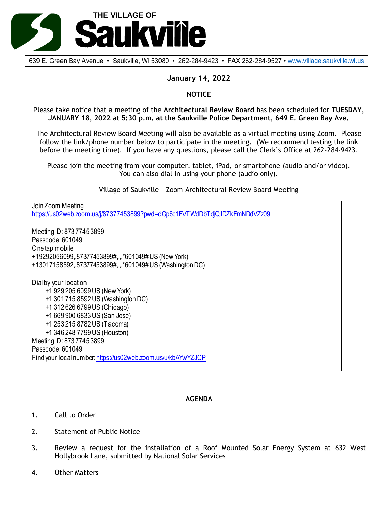

639 E. Green Bay Avenue • Saukville, WI 53080 • 262-284-9423 • FAX 262-284-9527 • [www.village.saukville.wi.us](http://www.village.saukville.wi.us/)

## **January 14, 2022**

## **NOTICE**

Please take notice that a meeting of the **Architectural Review Board** has been scheduled for **TUESDAY, JANUARY 18, 2022 at 5:30 p.m. at the Saukville Police Department, 649 E. Green Bay Ave.**

The Architectural Review Board Meeting will also be available as a virtual meeting using Zoom. Please follow the link/phone number below to participate in the meeting. (We recommend testing the link before the meeting time). If you have any questions, please call the Clerk's Office at 262-284-9423.

Please join the meeting from your computer, tablet, iPad, or smartphone (audio and/or video). You can also dial in using your phone (audio only).

Village of Saukville – Zoom Architectural Review Board Meeting

Join Zoom Meeting https://us02web.zoom.us/j/87377453899?pwd=dGp6c1FVTWdDbTdjQllDZkFmNDdVZz09 Meeting ID: 873 7745 3899 Passcode: 601049 One tap mobile +19292056099,,87377453899#,,,,\*601049# US (New York) +13017158592,,87377453899#,,,,\*601049# US (Washington DC) Dial by your location +1 929 205 6099 US (New York) +1 301 715 8592 US (Washington DC) +1 312 626 6799 US (Chicago) +1 669 900 6833 US (San Jose) +1 253 215 8782 US (Tacoma) +1 346 248 7799 US (Houston) Meeting ID: 873 7745 3899 Passcode: 601049 Find your local number: https://us02web.zoom.us/u/kbAYwYZJCP

## **AGENDA**

- 1. Call to Order
- 2. Statement of Public Notice
- 3. Review a request for the installation of a Roof Mounted Solar Energy System at 632 West Hollybrook Lane, submitted by National Solar Services
- 4. Other Matters